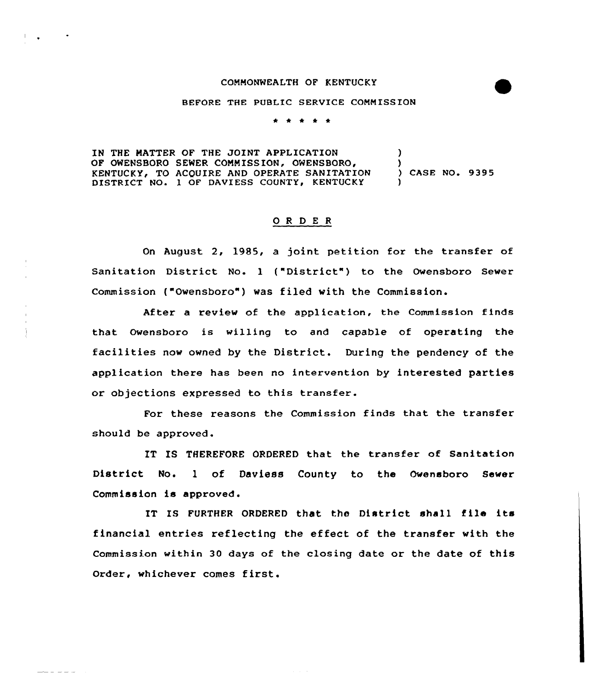## COMMONWEALTH OF KENTUCKY

## BEFORE THE PUBLIC SERVICE COMM ISSION

. . . . .

IN THE MATTER OF THE JOINT APPLICATION OF OWENSBORO SEWER COMMISSION, OWENSBORO, KENTUCKY, TO ACQUIRE AND OPERATE SANITATION DISTRICT NO. 1 OF DAVIESS COUNTY, KENTUCKY ) ) ) CASE NO. 9395 )

## ORDER

On August 2, 1985, a joint petition for the transfer of Sanitation District No. 1 ("District") to the Owensboro Sewer Commission ("Owensboro") was filed with the Commission.

After a review of the application, the Commission finds that Owensboro is willing to and capable of operating the facilities now owned by the District. During the pendency of the application there has been no intervention by interested parties or objections expressed to this transfer.

For these reasons the Commission finds that the transfer should be approved.

IT IS THEREFORE ORDERED that the transfer of Sanitation District No. l of Daviess County to the Owensboro Sewer Commission is approved.

IT IS FURTHER ORDERED that the District shall file its financial entries reflecting the effect of the transfer with the Commission within 30 days of the closing date or the date of this Order, whichever comes first.

 $\frac{1}{2}$   $\frac{1}{2}$   $\frac{1}{2}$   $\frac{1}{2}$   $\frac{1}{2}$   $\frac{1}{2}$